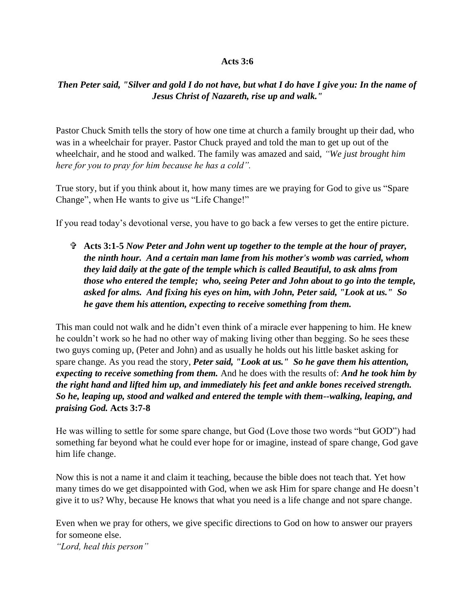## **Acts 3:6**

## *Then Peter said, "Silver and gold I do not have, but what I do have I give you: In the name of Jesus Christ of Nazareth, rise up and walk."*

Pastor Chuck Smith tells the story of how one time at church a family brought up their dad, who was in a wheelchair for prayer. Pastor Chuck prayed and told the man to get up out of the wheelchair, and he stood and walked. The family was amazed and said, *"We just brought him here for you to pray for him because he has a cold".*

True story, but if you think about it, how many times are we praying for God to give us "Spare Change", when He wants to give us "Life Change!"

If you read today's devotional verse, you have to go back a few verses to get the entire picture.

 **Acts 3:1-5** *Now Peter and John went up together to the temple at the hour of prayer, the ninth hour. And a certain man lame from his mother's womb was carried, whom they laid daily at the gate of the temple which is called Beautiful, to ask alms from those who entered the temple; who, seeing Peter and John about to go into the temple, asked for alms. And fixing his eyes on him, with John, Peter said, "Look at us." So he gave them his attention, expecting to receive something from them.*

This man could not walk and he didn't even think of a miracle ever happening to him. He knew he couldn't work so he had no other way of making living other than begging. So he sees these two guys coming up, (Peter and John) and as usually he holds out his little basket asking for spare change. As you read the story, *Peter said, "Look at us." So he gave them his attention, expecting to receive something from them.* And he does with the results of: *And he took him by the right hand and lifted him up, and immediately his feet and ankle bones received strength. So he, leaping up, stood and walked and entered the temple with them--walking, leaping, and praising God.* **Acts 3:7-8**

He was willing to settle for some spare change, but God (Love those two words "but GOD") had something far beyond what he could ever hope for or imagine, instead of spare change, God gave him life change.

Now this is not a name it and claim it teaching, because the bible does not teach that. Yet how many times do we get disappointed with God, when we ask Him for spare change and He doesn't give it to us? Why, because He knows that what you need is a life change and not spare change.

Even when we pray for others, we give specific directions to God on how to answer our prayers for someone else.

*"Lord, heal this person"*